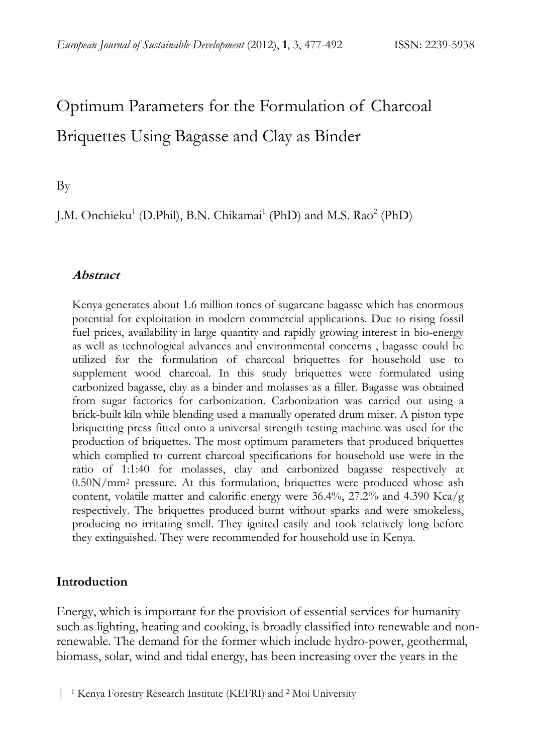# Optimum Parameters for the Formulation of Charcoal Briquettes Using Bagasse and Clay as Binder

By

J.M. Onchieku<sup>1</sup> (D.Phil), B.N. Chikamai<sup>1</sup> (PhD) and M.S. Rao<sup>2</sup> (PhD)

#### **Abstract**

Kenya generates about 1.6 million tones of sugarcane bagasse which has enormous potential for exploitation in modern commercial applications. Due to rising fossil fuel prices, availability in large quantity and rapidly growing interest in bio-energy as well as technological advances and environmental concerns , bagasse could be utilized for the formulation of charcoal briquettes for household use to supplement wood charcoal. In this study briquettes were formulated using carbonized bagasse, clay as a binder and molasses as a filler. Bagasse was obtained from sugar factories for carbonization. Carbonization was carried out using a brick-built kiln while blending used a manually operated drum mixer. A piston type briquetting press fitted onto a universal strength testing machine was used for the production of briquettes. The most optimum parameters that produced briquettes which complied to current charcoal specifications for household use were in the ratio of 1:1:40 for molasses, clay and carbonized bagasse respectively at 0.50N/mm2 pressure. At this formulation, briquettes were produced whose ash content, volatile matter and calorific energy were 36.4%, 27.2% and 4.390 Kca/g respectively. The briquettes produced burnt without sparks and were smokeless, producing no irritating smell. They ignited easily and took relatively long before they extinguished. They were recommended for household use in Kenya.

# **Introduction**

Energy, which is important for the provision of essential services for humanity such as lighting, heating and cooking, is broadly classified into renewable and nonrenewable. The demand for the former which include hydro-power, geothermal, biomass, solar, wind and tidal energy, has been increasing over the years in the

 <sup>|</sup> 1 Kenya Forestry Research Institute (KEFRI) and 2 Moi University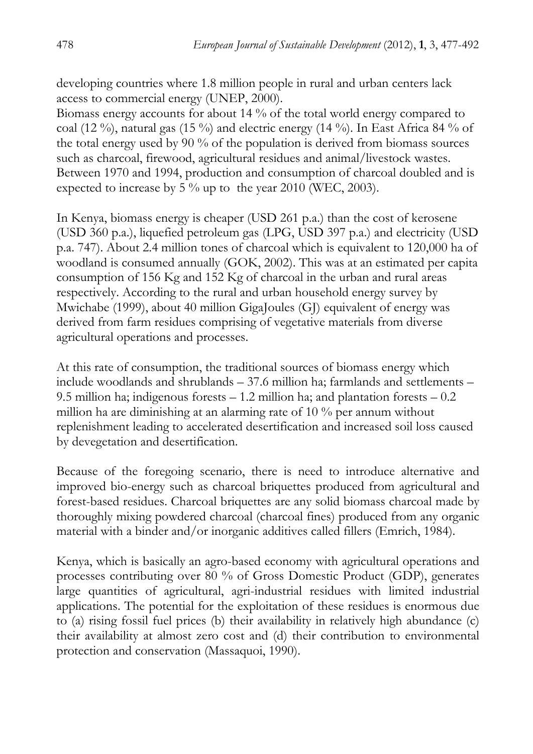developing countries where 1.8 million people in rural and urban centers lack access to commercial energy (UNEP, 2000).

Biomass energy accounts for about 14 % of the total world energy compared to coal (12 %), natural gas (15 %) and electric energy (14 %). In East Africa 84 % of the total energy used by 90 % of the population is derived from biomass sources such as charcoal, firewood, agricultural residues and animal/livestock wastes. Between 1970 and 1994, production and consumption of charcoal doubled and is expected to increase by 5 % up to the year 2010 (WEC, 2003).

In Kenya, biomass energy is cheaper (USD 261 p.a.) than the cost of kerosene (USD 360 p.a.), liquefied petroleum gas (LPG, USD 397 p.a.) and electricity (USD p.a. 747). About 2.4 million tones of charcoal which is equivalent to 120,000 ha of woodland is consumed annually (GOK, 2002). This was at an estimated per capita consumption of 156 Kg and 152 Kg of charcoal in the urban and rural areas respectively. According to the rural and urban household energy survey by Mwichabe (1999), about 40 million GigaJoules (GJ) equivalent of energy was derived from farm residues comprising of vegetative materials from diverse agricultural operations and processes.

At this rate of consumption, the traditional sources of biomass energy which include woodlands and shrublands – 37.6 million ha; farmlands and settlements – 9.5 million ha; indigenous forests – 1.2 million ha; and plantation forests – 0.2 million ha are diminishing at an alarming rate of 10 % per annum without replenishment leading to accelerated desertification and increased soil loss caused by devegetation and desertification.

Because of the foregoing scenario, there is need to introduce alternative and improved bio-energy such as charcoal briquettes produced from agricultural and forest-based residues. Charcoal briquettes are any solid biomass charcoal made by thoroughly mixing powdered charcoal (charcoal fines) produced from any organic material with a binder and/or inorganic additives called fillers (Emrich, 1984).

Kenya, which is basically an agro-based economy with agricultural operations and processes contributing over 80 % of Gross Domestic Product (GDP), generates large quantities of agricultural, agri-industrial residues with limited industrial applications. The potential for the exploitation of these residues is enormous due to (a) rising fossil fuel prices (b) their availability in relatively high abundance (c) their availability at almost zero cost and (d) their contribution to environmental protection and conservation (Massaquoi, 1990).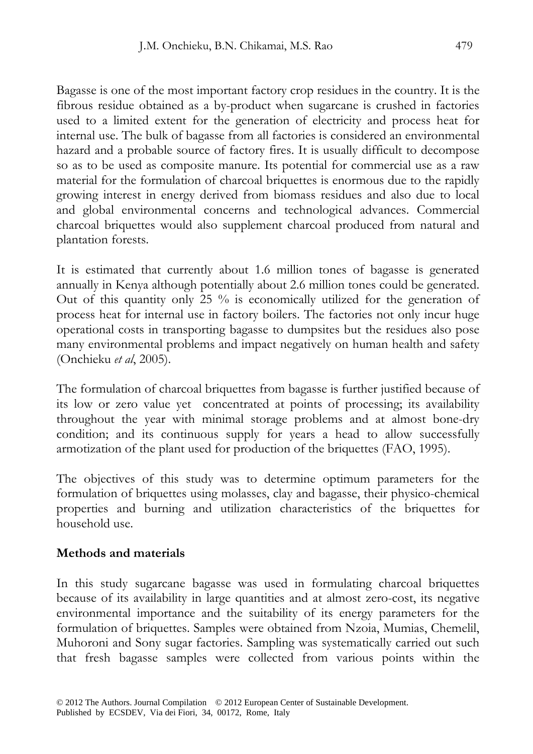Bagasse is one of the most important factory crop residues in the country. It is the fibrous residue obtained as a by-product when sugarcane is crushed in factories used to a limited extent for the generation of electricity and process heat for internal use. The bulk of bagasse from all factories is considered an environmental hazard and a probable source of factory fires. It is usually difficult to decompose so as to be used as composite manure. Its potential for commercial use as a raw material for the formulation of charcoal briquettes is enormous due to the rapidly growing interest in energy derived from biomass residues and also due to local and global environmental concerns and technological advances. Commercial charcoal briquettes would also supplement charcoal produced from natural and plantation forests.

It is estimated that currently about 1.6 million tones of bagasse is generated annually in Kenya although potentially about 2.6 million tones could be generated. Out of this quantity only 25  $\%$  is economically utilized for the generation of process heat for internal use in factory boilers. The factories not only incur huge operational costs in transporting bagasse to dumpsites but the residues also pose many environmental problems and impact negatively on human health and safety (Onchieku *et al*, 2005).

The formulation of charcoal briquettes from bagasse is further justified because of its low or zero value yet concentrated at points of processing; its availability throughout the year with minimal storage problems and at almost bone-dry condition; and its continuous supply for years a head to allow successfully armotization of the plant used for production of the briquettes (FAO, 1995).

The objectives of this study was to determine optimum parameters for the formulation of briquettes using molasses, clay and bagasse, their physico-chemical properties and burning and utilization characteristics of the briquettes for household use.

# **Methods and materials**

In this study sugarcane bagasse was used in formulating charcoal briquettes because of its availability in large quantities and at almost zero-cost, its negative environmental importance and the suitability of its energy parameters for the formulation of briquettes. Samples were obtained from Nzoia, Mumias, Chemelil, Muhoroni and Sony sugar factories. Sampling was systematically carried out such that fresh bagasse samples were collected from various points within the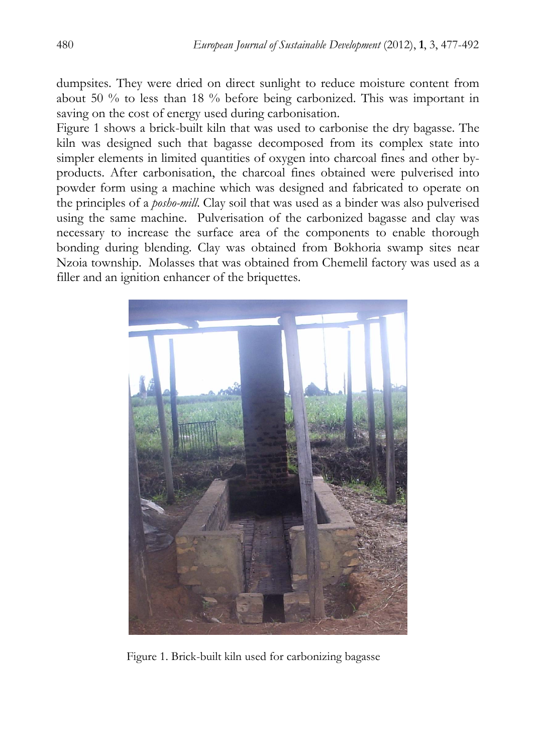dumpsites. They were dried on direct sunlight to reduce moisture content from about 50 % to less than 18 % before being carbonized. This was important in saving on the cost of energy used during carbonisation.

Figure 1 shows a brick-built kiln that was used to carbonise the dry bagasse. The kiln was designed such that bagasse decomposed from its complex state into simpler elements in limited quantities of oxygen into charcoal fines and other byproducts. After carbonisation, the charcoal fines obtained were pulverised into powder form using a machine which was designed and fabricated to operate on the principles of a *posho-mill*. Clay soil that was used as a binder was also pulverised using the same machine. Pulverisation of the carbonized bagasse and clay was necessary to increase the surface area of the components to enable thorough bonding during blending. Clay was obtained from Bokhoria swamp sites near Nzoia township. Molasses that was obtained from Chemelil factory was used as a filler and an ignition enhancer of the briquettes.



Figure 1. Brick-built kiln used for carbonizing bagasse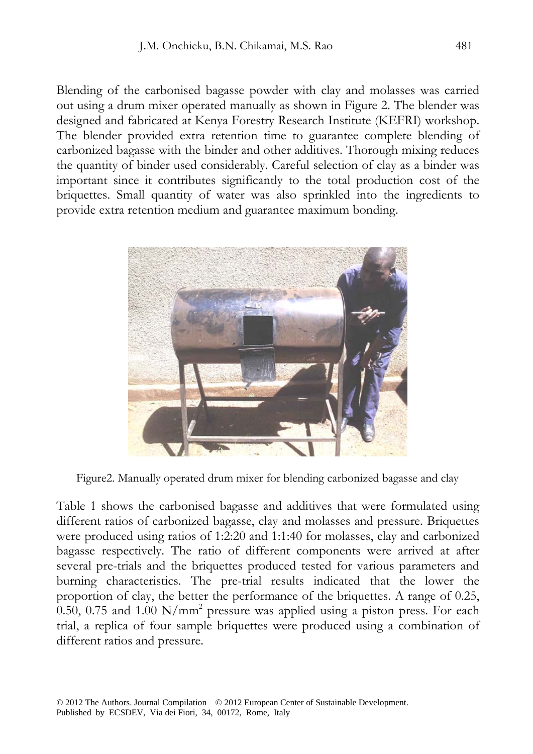Blending of the carbonised bagasse powder with clay and molasses was carried out using a drum mixer operated manually as shown in Figure 2. The blender was designed and fabricated at Kenya Forestry Research Institute (KEFRI) workshop. The blender provided extra retention time to guarantee complete blending of carbonized bagasse with the binder and other additives. Thorough mixing reduces the quantity of binder used considerably. Careful selection of clay as a binder was important since it contributes significantly to the total production cost of the briquettes. Small quantity of water was also sprinkled into the ingredients to provide extra retention medium and guarantee maximum bonding.



Figure2. Manually operated drum mixer for blending carbonized bagasse and clay

Table 1 shows the carbonised bagasse and additives that were formulated using different ratios of carbonized bagasse, clay and molasses and pressure. Briquettes were produced using ratios of 1:2:20 and 1:1:40 for molasses, clay and carbonized bagasse respectively. The ratio of different components were arrived at after several pre-trials and the briquettes produced tested for various parameters and burning characteristics. The pre-trial results indicated that the lower the proportion of clay, the better the performance of the briquettes. A range of 0.25, 0.50, 0.75 and 1.00  $\text{N/mm}^2$  pressure was applied using a piston press. For each trial, a replica of four sample briquettes were produced using a combination of different ratios and pressure.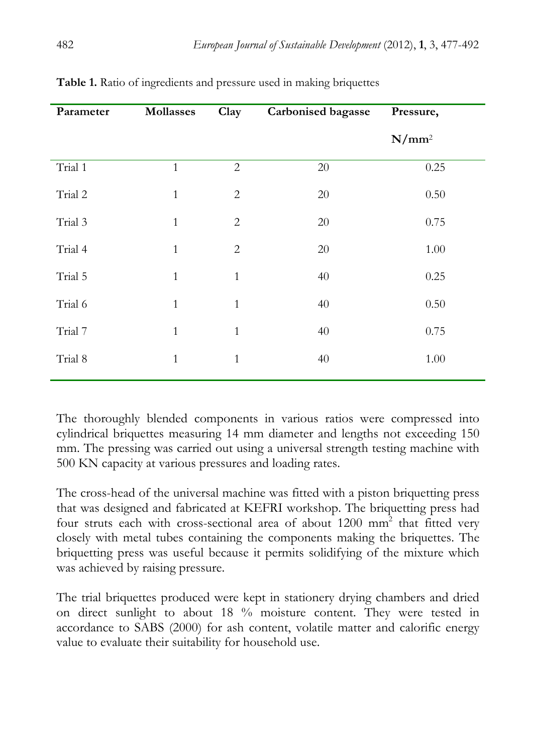| Parameter | <b>Mollasses</b> | Clay           | <b>Carbonised bagasse</b> | Pressure, |
|-----------|------------------|----------------|---------------------------|-----------|
|           |                  |                |                           | $N/mm^2$  |
| Trial 1   | $\mathbf{1}$     | $\overline{2}$ | 20                        | 0.25      |
| Trial 2   | $\mathbf{1}$     | $\mathbf{2}$   | 20                        | 0.50      |
| Trial 3   | $\mathbf{1}$     | $\mathbf{2}$   | $20\,$                    | 0.75      |
| Trial 4   | $\mathbf{1}$     | $\overline{2}$ | 20                        | 1.00      |
| Trial 5   | $\mathbf{1}$     | $\mathbf{1}$   | 40                        | 0.25      |
| Trial 6   | $\mathbf{1}$     | $\mathbf{1}$   | 40                        | 0.50      |
| Trial 7   | $\mathbf{1}$     | $\mathbf{1}$   | 40                        | 0.75      |
| Trial 8   | $\mathbf{1}$     | $\mathbf{1}$   | 40                        | 1.00      |
|           |                  |                |                           |           |

**Table 1.** Ratio of ingredients and pressure used in making briquettes

The thoroughly blended components in various ratios were compressed into cylindrical briquettes measuring 14 mm diameter and lengths not exceeding 150 mm. The pressing was carried out using a universal strength testing machine with 500 KN capacity at various pressures and loading rates.

The cross-head of the universal machine was fitted with a piston briquetting press that was designed and fabricated at KEFRI workshop. The briquetting press had four struts each with cross-sectional area of about  $1200$  mm<sup>2</sup> that fitted very closely with metal tubes containing the components making the briquettes. The briquetting press was useful because it permits solidifying of the mixture which was achieved by raising pressure.

The trial briquettes produced were kept in stationery drying chambers and dried on direct sunlight to about 18 % moisture content. They were tested in accordance to SABS (2000) for ash content, volatile matter and calorific energy value to evaluate their suitability for household use.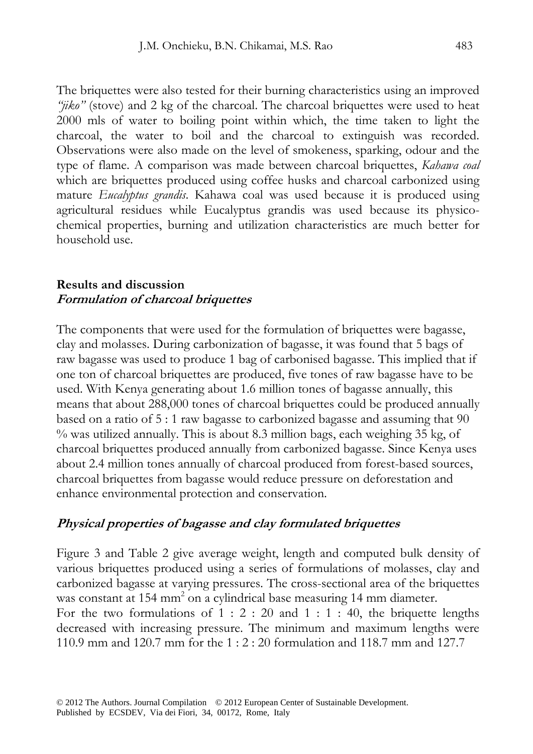The briquettes were also tested for their burning characteristics using an improved *"jiko"* (stove) and 2 kg of the charcoal. The charcoal briquettes were used to heat 2000 mls of water to boiling point within which, the time taken to light the charcoal, the water to boil and the charcoal to extinguish was recorded. Observations were also made on the level of smokeness, sparking, odour and the type of flame. A comparison was made between charcoal briquettes, *Kahawa coal* which are briquettes produced using coffee husks and charcoal carbonized using mature *Eucalyptus grandis*. Kahawa coal was used because it is produced using agricultural residues while Eucalyptus grandis was used because its physicochemical properties, burning and utilization characteristics are much better for household use.

#### **Results and discussion Formulation of charcoal briquettes**

The components that were used for the formulation of briquettes were bagasse, clay and molasses. During carbonization of bagasse, it was found that 5 bags of raw bagasse was used to produce 1 bag of carbonised bagasse. This implied that if one ton of charcoal briquettes are produced, five tones of raw bagasse have to be used. With Kenya generating about 1.6 million tones of bagasse annually, this means that about 288,000 tones of charcoal briquettes could be produced annually based on a ratio of 5 : 1 raw bagasse to carbonized bagasse and assuming that 90 % was utilized annually. This is about 8.3 million bags, each weighing 35 kg, of charcoal briquettes produced annually from carbonized bagasse. Since Kenya uses about 2.4 million tones annually of charcoal produced from forest-based sources, charcoal briquettes from bagasse would reduce pressure on deforestation and enhance environmental protection and conservation.

#### **Physical properties of bagasse and clay formulated briquettes**

Figure 3 and Table 2 give average weight, length and computed bulk density of various briquettes produced using a series of formulations of molasses, clay and carbonized bagasse at varying pressures. The cross-sectional area of the briquettes was constant at 154 mm<sup>2</sup> on a cylindrical base measuring 14 mm diameter. For the two formulations of  $1: 2: 20$  and  $1: 1: 40$ , the briquette lengths decreased with increasing pressure. The minimum and maximum lengths were 110.9 mm and 120.7 mm for the 1 : 2 : 20 formulation and 118.7 mm and 127.7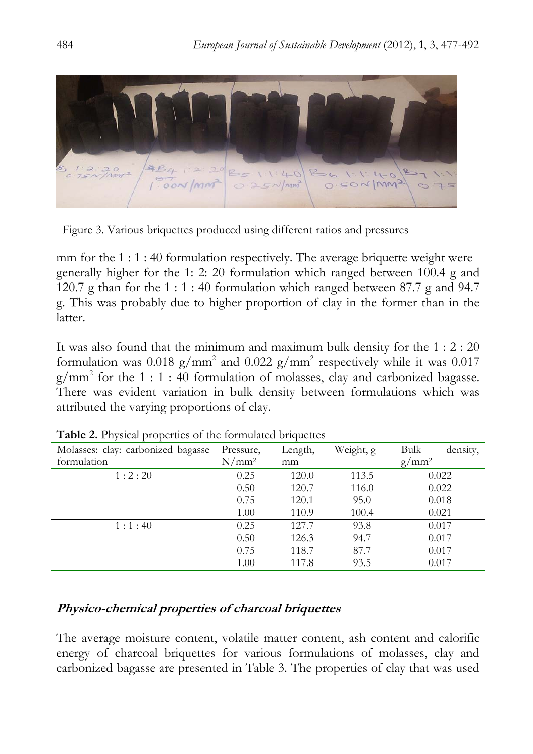

Figure 3. Various briquettes produced using different ratios and pressures

mm for the 1 : 1 : 40 formulation respectively. The average briquette weight were generally higher for the 1: 2: 20 formulation which ranged between 100.4 g and 120.7 g than for the 1 : 1 : 40 formulation which ranged between 87.7 g and 94.7 g. This was probably due to higher proportion of clay in the former than in the latter.

It was also found that the minimum and maximum bulk density for the 1 : 2 : 20 formulation was  $0.018$  g/mm<sup>2</sup> and  $0.022$  g/mm<sup>2</sup> respectively while it was  $0.017$  $g/mm^2$  for the 1 : 1 : 40 formulation of molasses, clay and carbonized bagasse. There was evident variation in bulk density between formulations which was attributed the varying proportions of clay.

| Molasses: clay: carbonized bagasse | Pressure, | Length, | Weight, g | <b>Bulk</b><br>density, |
|------------------------------------|-----------|---------|-----------|-------------------------|
| formulation                        | $N/mm^2$  | mm      |           | $g/mm^2$                |
| 1:2:20                             | 0.25      | 120.0   | 113.5     | 0.022                   |
|                                    | 0.50      | 120.7   | 116.0     | 0.022                   |
|                                    | 0.75      | 120.1   | 95.0      | 0.018                   |
|                                    | 1.00      | 110.9   | 100.4     | 0.021                   |
| 1:1:40                             | 0.25      | 127.7   | 93.8      | 0.017                   |
|                                    | 0.50      | 126.3   | 94.7      | 0.017                   |
|                                    | 0.75      | 118.7   | 87.7      | 0.017                   |
|                                    | 1.00      | 117.8   | 93.5      | 0.017                   |

**Table 2.** Physical properties of the formulated briquettes

# **Physico-chemical properties of charcoal briquettes**

The average moisture content, volatile matter content, ash content and calorific energy of charcoal briquettes for various formulations of molasses, clay and carbonized bagasse are presented in Table 3. The properties of clay that was used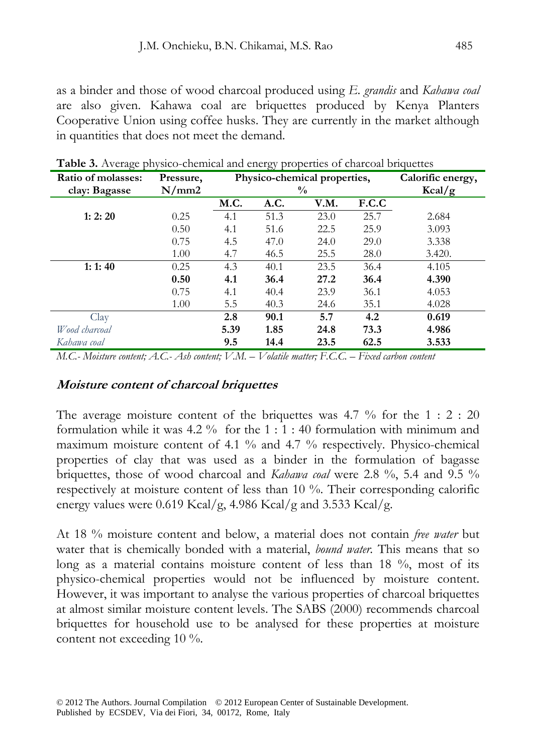as a binder and those of wood charcoal produced using *E. grandis* and *Kahawa coal* are also given. Kahawa coal are briquettes produced by Kenya Planters Cooperative Union using coffee husks. They are currently in the market although in quantities that does not meet the demand.

| Ratio of molasses: | Pressure, |               | Physico-chemical properties, | Calorific energy, |       |        |
|--------------------|-----------|---------------|------------------------------|-------------------|-------|--------|
| clay: Bagasse      | N/mm2     | $\frac{0}{0}$ |                              |                   |       | Kcal/g |
|                    |           | M.C.          | A.C.                         | V.M.              | F.C.C |        |
| 1: 2: 20           | 0.25      | 4.1           | 51.3                         | 23.0              | 25.7  | 2.684  |
|                    | 0.50      | 4.1           | 51.6                         | 22.5              | 25.9  | 3.093  |
|                    | 0.75      | 4.5           | 47.0                         | 24.0              | 29.0  | 3.338  |
|                    | 1.00      | 4.7           | 46.5                         | 25.5              | 28.0  | 3.420. |
| 1:1:40             | 0.25      | 4.3           | 40.1                         | 23.5              | 36.4  | 4.105  |
|                    | 0.50      | 4.1           | 36.4                         | 27.2              | 36.4  | 4.390  |
|                    | 0.75      | 4.1           | 40.4                         | 23.9              | 36.1  | 4.053  |
|                    | 1.00      | 5.5           | 40.3                         | 24.6              | 35.1  | 4.028  |
| Clav               |           | 2.8           | 90.1                         | 5.7               | 4.2   | 0.619  |
| Wood charcoal      |           | 5.39          | 1.85                         | 24.8              | 73.3  | 4.986  |
| Kahawa coal        |           | 9.5           | 14.4                         | 23.5              | 62.5  | 3.533  |

**Table 3.** Average physico-chemical and energy properties of charcoal briquettes

*M.C.- Moisture content; A.C.- Ash content; V.M. – Volatile matter; F.C.C. – Fixed carbon content* 

#### **Moisture content of charcoal briquettes**

The average moisture content of the briquettes was  $4.7\%$  for the  $1:2:20$ formulation while it was  $4.2\%$  for the  $1:1:40$  formulation with minimum and maximum moisture content of 4.1 % and 4.7 % respectively. Physico-chemical properties of clay that was used as a binder in the formulation of bagasse briquettes, those of wood charcoal and *Kahawa coal* were 2.8 %, 5.4 and 9.5 % respectively at moisture content of less than 10 %. Their corresponding calorific energy values were 0.619 Kcal/g, 4.986 Kcal/g and 3.533 Kcal/g.

At 18 % moisture content and below, a material does not contain *free water* but water that is chemically bonded with a material, *bound water.* This means that so long as a material contains moisture content of less than 18 %, most of its physico-chemical properties would not be influenced by moisture content. However, it was important to analyse the various properties of charcoal briquettes at almost similar moisture content levels. The SABS (2000) recommends charcoal briquettes for household use to be analysed for these properties at moisture content not exceeding 10 %.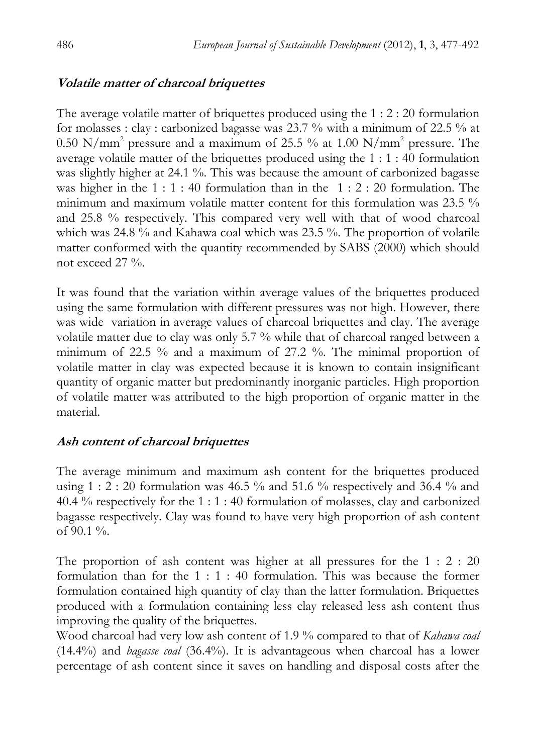#### **Volatile matter of charcoal briquettes**

The average volatile matter of briquettes produced using the 1 : 2 : 20 formulation for molasses : clay : carbonized bagasse was 23.7 % with a minimum of 22.5 % at 0.50 N/mm<sup>2</sup> pressure and a maximum of 25.5 % at 1.00 N/mm<sup>2</sup> pressure. The average volatile matter of the briquettes produced using the 1 : 1 : 40 formulation was slightly higher at 24.1 %. This was because the amount of carbonized bagasse was higher in the 1 : 1 : 40 formulation than in the 1 : 2 : 20 formulation. The minimum and maximum volatile matter content for this formulation was 23.5 % and 25.8 % respectively. This compared very well with that of wood charcoal which was 24.8 % and Kahawa coal which was 23.5 %. The proportion of volatile matter conformed with the quantity recommended by SABS (2000) which should not exceed 27 %.

It was found that the variation within average values of the briquettes produced using the same formulation with different pressures was not high. However, there was wide variation in average values of charcoal briquettes and clay. The average volatile matter due to clay was only 5.7 % while that of charcoal ranged between a minimum of 22.5 % and a maximum of 27.2 %. The minimal proportion of volatile matter in clay was expected because it is known to contain insignificant quantity of organic matter but predominantly inorganic particles. High proportion of volatile matter was attributed to the high proportion of organic matter in the material.

# **Ash content of charcoal briquettes**

The average minimum and maximum ash content for the briquettes produced using  $1:2:20$  formulation was 46.5 % and 51.6 % respectively and 36.4 % and 40.4 % respectively for the 1 : 1 : 40 formulation of molasses, clay and carbonized bagasse respectively. Clay was found to have very high proportion of ash content of  $90.1\%$ .

The proportion of ash content was higher at all pressures for the 1 : 2 : 20 formulation than for the 1 : 1 : 40 formulation. This was because the former formulation contained high quantity of clay than the latter formulation. Briquettes produced with a formulation containing less clay released less ash content thus improving the quality of the briquettes.

Wood charcoal had very low ash content of 1.9 % compared to that of *Kahawa coal* (14.4%) and *bagasse coal* (36.4%). It is advantageous when charcoal has a lower percentage of ash content since it saves on handling and disposal costs after the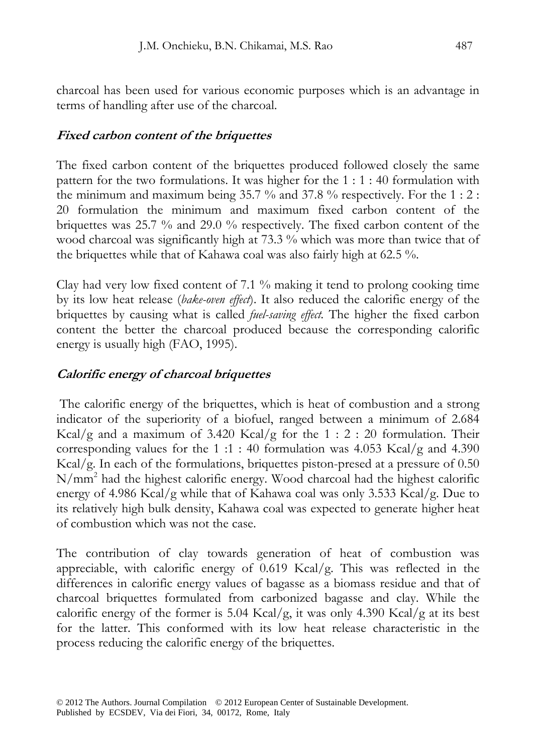charcoal has been used for various economic purposes which is an advantage in terms of handling after use of the charcoal.

# **Fixed carbon content of the briquettes**

The fixed carbon content of the briquettes produced followed closely the same pattern for the two formulations. It was higher for the 1 : 1 : 40 formulation with the minimum and maximum being 35.7 % and 37.8 % respectively. For the 1 : 2 : 20 formulation the minimum and maximum fixed carbon content of the briquettes was 25.7 % and 29.0 % respectively. The fixed carbon content of the wood charcoal was significantly high at 73.3 % which was more than twice that of the briquettes while that of Kahawa coal was also fairly high at 62.5 %.

Clay had very low fixed content of 7.1 % making it tend to prolong cooking time by its low heat release (*bake-oven effect*). It also reduced the calorific energy of the briquettes by causing what is called *fuel-saving effect.* The higher the fixed carbon content the better the charcoal produced because the corresponding calorific energy is usually high (FAO, 1995).

# **Calorific energy of charcoal briquettes**

 The calorific energy of the briquettes, which is heat of combustion and a strong indicator of the superiority of a biofuel, ranged between a minimum of 2.684 Kcal/g and a maximum of 3.420 Kcal/g for the  $1:2:20$  formulation. Their corresponding values for the 1 :1 : 40 formulation was  $4.053$  Kcal/g and  $4.390$ Kcal/g. In each of the formulations, briquettes piston-presed at a pressure of 0.50 N/mm<sup>2</sup> had the highest calorific energy. Wood charcoal had the highest calorific energy of 4.986 Kcal/g while that of Kahawa coal was only 3.533 Kcal/g. Due to its relatively high bulk density, Kahawa coal was expected to generate higher heat of combustion which was not the case.

The contribution of clay towards generation of heat of combustion was appreciable, with calorific energy of 0.619 Kcal/g. This was reflected in the differences in calorific energy values of bagasse as a biomass residue and that of charcoal briquettes formulated from carbonized bagasse and clay. While the calorific energy of the former is 5.04 Kcal/g, it was only 4.390 Kcal/g at its best for the latter. This conformed with its low heat release characteristic in the process reducing the calorific energy of the briquettes.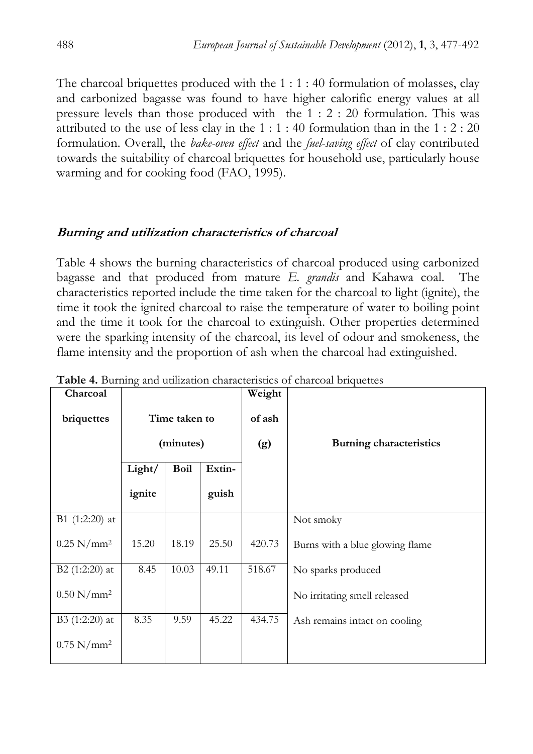The charcoal briquettes produced with the 1 : 1 : 40 formulation of molasses, clay and carbonized bagasse was found to have higher calorific energy values at all pressure levels than those produced with the 1 : 2 : 20 formulation. This was attributed to the use of less clay in the  $1:1:40$  formulation than in the  $1:2:20$ formulation. Overall, the *bake-oven effect* and the *fuel-saving effect* of clay contributed towards the suitability of charcoal briquettes for household use, particularly house warming and for cooking food (FAO, 1995).

# **Burning and utilization characteristics of charcoal**

Table 4 shows the burning characteristics of charcoal produced using carbonized bagasse and that produced from mature *E. grandis* and Kahawa coal. The characteristics reported include the time taken for the charcoal to light (ignite), the time it took the ignited charcoal to raise the temperature of water to boiling point and the time it took for the charcoal to extinguish. Other properties determined were the sparking intensity of the charcoal, its level of odour and smokeness, the flame intensity and the proportion of ash when the charcoal had extinguished.

| Charcoal                 | ◯             |             |        | Weight                         |                                 |
|--------------------------|---------------|-------------|--------|--------------------------------|---------------------------------|
| briquettes               | Time taken to |             | of ash |                                |                                 |
|                          | (minutes)     |             | (g)    | <b>Burning characteristics</b> |                                 |
|                          | Light/        | <b>Boil</b> | Extin- |                                |                                 |
|                          | ignite        |             | guish  |                                |                                 |
| B1 $(1:2:20)$ at         |               |             |        |                                | Not smoky                       |
| $0.25$ N/mm <sup>2</sup> | 15.20         | 18.19       | 25.50  | 420.73                         | Burns with a blue glowing flame |
| B2 $(1:2:20)$ at         | 8.45          | 10.03       | 49.11  | 518.67                         | No sparks produced              |
| $0.50$ N/mm <sup>2</sup> |               |             |        |                                | No irritating smell released    |
| B3 $(1:2:20)$ at         | 8.35          | 9.59        | 45.22  | 434.75                         | Ash remains intact on cooling   |
| $0.75$ N/mm <sup>2</sup> |               |             |        |                                |                                 |

Table 4. Burning and utilization characteristics of charcoal briquettes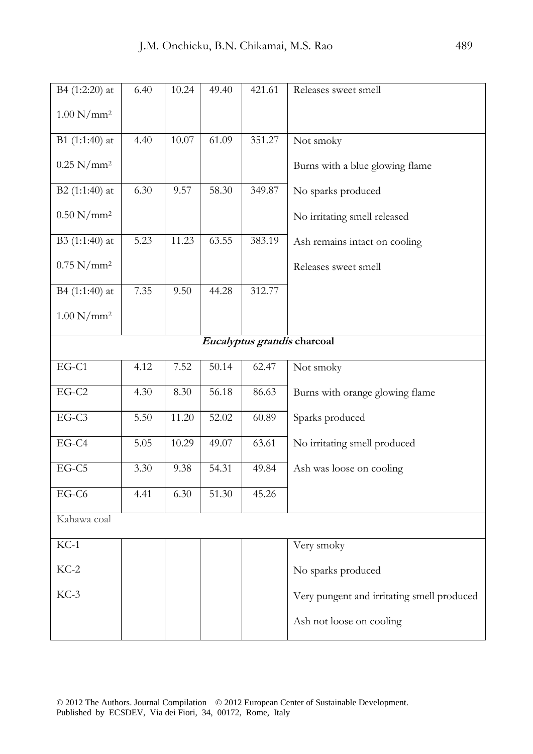| B4 (1:2:20) at           | 6.40 | 10.24 | 49.40 | 421.61 | Releases sweet smell                       |
|--------------------------|------|-------|-------|--------|--------------------------------------------|
| $1.00 \text{ N/mm}^2$    |      |       |       |        |                                            |
| B1 (1:1:40) at           | 4.40 | 10.07 | 61.09 | 351.27 | Not smoky                                  |
| $0.25$ N/mm <sup>2</sup> |      |       |       |        | Burns with a blue glowing flame            |
| B2 (1:1:40) at           | 6.30 | 9.57  | 58.30 | 349.87 | No sparks produced                         |
| $0.50$ N/mm <sup>2</sup> |      |       |       |        | No irritating smell released               |
| B3 (1:1:40) at           | 5.23 | 11.23 | 63.55 | 383.19 | Ash remains intact on cooling              |
| $0.75$ N/mm <sup>2</sup> |      |       |       |        | Releases sweet smell                       |
| B4 (1:1:40) at           | 7.35 | 9.50  | 44.28 | 312.77 |                                            |
| $1.00 \text{ N/mm}^2$    |      |       |       |        |                                            |
|                          |      |       |       |        | Eucalyptus grandis charcoal                |
| $EG-C1$                  | 4.12 | 7.52  | 50.14 | 62.47  | Not smoky                                  |
| $EG-C2$                  | 4.30 | 8.30  | 56.18 | 86.63  | Burns with orange glowing flame            |
| EG-C3                    | 5.50 | 11.20 | 52.02 | 60.89  | Sparks produced                            |
| $EG-C4$                  | 5.05 | 10.29 | 49.07 | 63.61  | No irritating smell produced               |
| EG-C5                    | 3.30 | 9.38  | 54.31 | 49.84  | Ash was loose on cooling                   |
| EG-C6                    | 4.41 | 6.30  | 51.30 | 45.26  |                                            |
| Kahawa coal              |      |       |       |        |                                            |
| $KC-1$                   |      |       |       |        | Very smoky                                 |
| $KC-2$                   |      |       |       |        | No sparks produced                         |
| $KC-3$                   |      |       |       |        | Very pungent and irritating smell produced |
|                          |      |       |       |        | Ash not loose on cooling                   |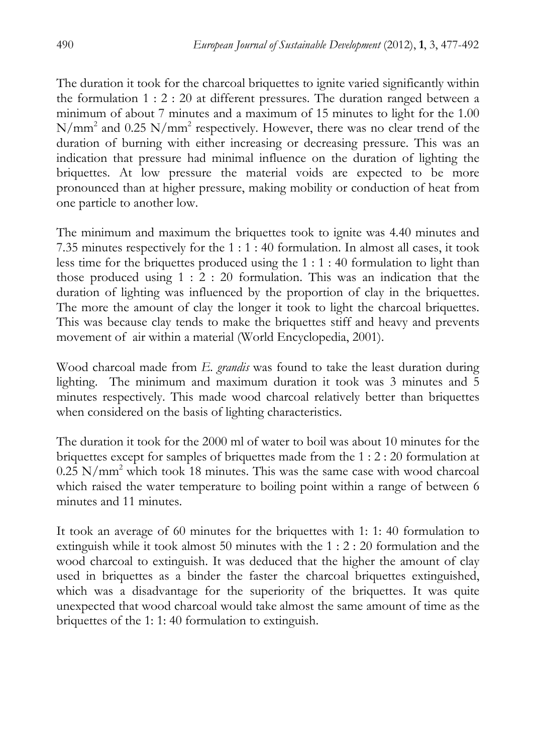The duration it took for the charcoal briquettes to ignite varied significantly within the formulation 1 : 2 : 20 at different pressures. The duration ranged between a minimum of about 7 minutes and a maximum of 15 minutes to light for the 1.00  $N/mm^2$  and 0.25  $N/mm^2$  respectively. However, there was no clear trend of the duration of burning with either increasing or decreasing pressure. This was an indication that pressure had minimal influence on the duration of lighting the briquettes. At low pressure the material voids are expected to be more pronounced than at higher pressure, making mobility or conduction of heat from one particle to another low.

The minimum and maximum the briquettes took to ignite was 4.40 minutes and 7.35 minutes respectively for the 1 : 1 : 40 formulation. In almost all cases, it took less time for the briquettes produced using the 1 : 1 : 40 formulation to light than those produced using 1 : 2 : 20 formulation. This was an indication that the duration of lighting was influenced by the proportion of clay in the briquettes. The more the amount of clay the longer it took to light the charcoal briquettes. This was because clay tends to make the briquettes stiff and heavy and prevents movement of air within a material (World Encyclopedia, 2001).

Wood charcoal made from *E. grandis* was found to take the least duration during lighting. The minimum and maximum duration it took was 3 minutes and 5 minutes respectively. This made wood charcoal relatively better than briquettes when considered on the basis of lighting characteristics.

The duration it took for the 2000 ml of water to boil was about 10 minutes for the briquettes except for samples of briquettes made from the 1 : 2 : 20 formulation at  $0.25$  N/mm<sup>2</sup> which took 18 minutes. This was the same case with wood charcoal which raised the water temperature to boiling point within a range of between 6 minutes and 11 minutes.

It took an average of 60 minutes for the briquettes with 1: 1: 40 formulation to extinguish while it took almost 50 minutes with the 1 : 2 : 20 formulation and the wood charcoal to extinguish. It was deduced that the higher the amount of clay used in briquettes as a binder the faster the charcoal briquettes extinguished, which was a disadvantage for the superiority of the briquettes. It was quite unexpected that wood charcoal would take almost the same amount of time as the briquettes of the 1: 1: 40 formulation to extinguish.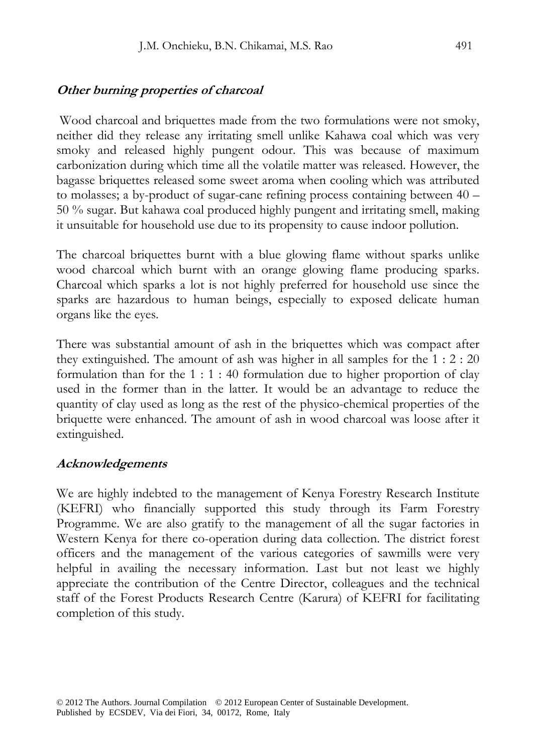#### **Other burning properties of charcoal**

 Wood charcoal and briquettes made from the two formulations were not smoky, neither did they release any irritating smell unlike Kahawa coal which was very smoky and released highly pungent odour. This was because of maximum carbonization during which time all the volatile matter was released. However, the bagasse briquettes released some sweet aroma when cooling which was attributed to molasses; a by-product of sugar-cane refining process containing between 40 – 50 % sugar. But kahawa coal produced highly pungent and irritating smell, making it unsuitable for household use due to its propensity to cause indoor pollution.

The charcoal briquettes burnt with a blue glowing flame without sparks unlike wood charcoal which burnt with an orange glowing flame producing sparks. Charcoal which sparks a lot is not highly preferred for household use since the sparks are hazardous to human beings, especially to exposed delicate human organs like the eyes.

There was substantial amount of ash in the briquettes which was compact after they extinguished. The amount of ash was higher in all samples for the 1 : 2 : 20 formulation than for the 1 : 1 : 40 formulation due to higher proportion of clay used in the former than in the latter. It would be an advantage to reduce the quantity of clay used as long as the rest of the physico-chemical properties of the briquette were enhanced. The amount of ash in wood charcoal was loose after it extinguished.

#### **Acknowledgements**

We are highly indebted to the management of Kenya Forestry Research Institute (KEFRI) who financially supported this study through its Farm Forestry Programme. We are also gratify to the management of all the sugar factories in Western Kenya for there co-operation during data collection. The district forest officers and the management of the various categories of sawmills were very helpful in availing the necessary information. Last but not least we highly appreciate the contribution of the Centre Director, colleagues and the technical staff of the Forest Products Research Centre (Karura) of KEFRI for facilitating completion of this study.